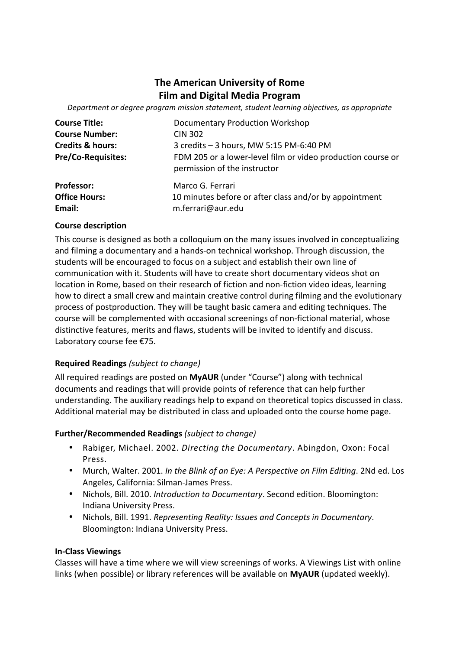# **The American University of Rome Film and Digital Media Program**

Department or degree program mission statement, student learning objectives, as appropriate

| <b>Course Title:</b>        | <b>Documentary Production Workshop</b>                                                      |
|-----------------------------|---------------------------------------------------------------------------------------------|
| <b>Course Number:</b>       | <b>CIN 302</b>                                                                              |
| <b>Credits &amp; hours:</b> | 3 credits - 3 hours, MW 5:15 PM-6:40 PM                                                     |
| <b>Pre/Co-Requisites:</b>   | FDM 205 or a lower-level film or video production course or<br>permission of the instructor |
| <b>Professor:</b>           | Marco G. Ferrari                                                                            |
| <b>Office Hours:</b>        | 10 minutes before or after class and/or by appointment                                      |
| Email:                      | m.ferrari@aur.edu                                                                           |

#### **Course description**

This course is designed as both a colloquium on the many issues involved in conceptualizing and filming a documentary and a hands-on technical workshop. Through discussion, the students will be encouraged to focus on a subject and establish their own line of communication with it. Students will have to create short documentary videos shot on location in Rome, based on their research of fiction and non-fiction video ideas, learning how to direct a small crew and maintain creative control during filming and the evolutionary process of postproduction. They will be taught basic camera and editing techniques. The course will be complemented with occasional screenings of non-fictional material, whose distinctive features, merits and flaws, students will be invited to identify and discuss. Laboratory course fee €75.

#### **Required Readings** *(subject to change)*

All required readings are posted on MyAUR (under "Course") along with technical documents and readings that will provide points of reference that can help further understanding. The auxiliary readings help to expand on theoretical topics discussed in class. Additional material may be distributed in class and uploaded onto the course home page.

#### **Further/Recommended Readings** (subject to change)

- Rabiger, Michael. 2002. *Directing the Documentary*. Abingdon, Oxon: Focal Press.
- Murch, Walter. 2001. In the Blink of an Eye: A Perspective on Film Editing. 2Nd ed. Los Angeles, California: Silman-James Press.
- Nichols, Bill. 2010. *Introduction to Documentary*. Second edition. Bloomington: Indiana University Press.
- Nichols, Bill. 1991. *Representing Reality: Issues and Concepts in Documentary*. Bloomington: Indiana University Press.

#### **In-Class Viewings**

Classes will have a time where we will view screenings of works. A Viewings List with online links (when possible) or library references will be available on **MyAUR** (updated weekly).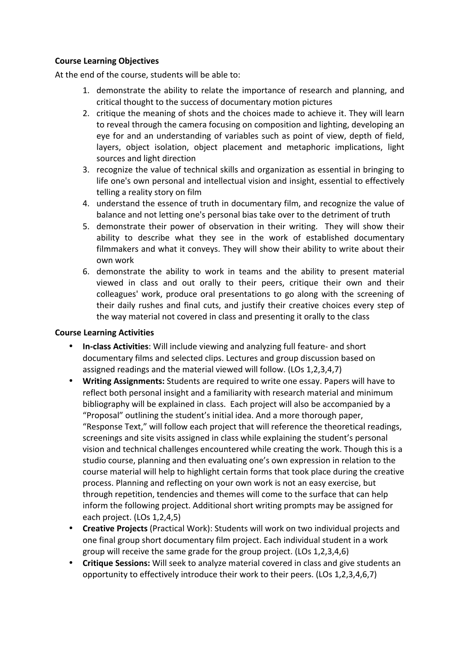### **Course Learning Objectives**

At the end of the course, students will be able to:

- 1. demonstrate the ability to relate the importance of research and planning, and critical thought to the success of documentary motion pictures
- 2. critique the meaning of shots and the choices made to achieve it. They will learn to reveal through the camera focusing on composition and lighting, developing an eye for and an understanding of variables such as point of view, depth of field, layers, object isolation, object placement and metaphoric implications, light sources and light direction
- 3. recognize the value of technical skills and organization as essential in bringing to life one's own personal and intellectual vision and insight, essential to effectively telling a reality story on film
- 4. understand the essence of truth in documentary film, and recognize the value of balance and not letting one's personal bias take over to the detriment of truth
- 5. demonstrate their power of observation in their writing. They will show their ability to describe what they see in the work of established documentary filmmakers and what it conveys. They will show their ability to write about their own work
- 6. demonstrate the ability to work in teams and the ability to present material viewed in class and out orally to their peers, critique their own and their colleagues' work, produce oral presentations to go along with the screening of their daily rushes and final cuts, and justify their creative choices every step of the way material not covered in class and presenting it orally to the class

#### **Course Learning Activities**

- In-class Activities: Will include viewing and analyzing full feature- and short documentary films and selected clips. Lectures and group discussion based on assigned readings and the material viewed will follow. (LOs 1,2,3,4,7)
- Writing Assignments: Students are required to write one essay. Papers will have to reflect both personal insight and a familiarity with research material and minimum bibliography will be explained in class. Each project will also be accompanied by a "Proposal" outlining the student's initial idea. And a more thorough paper, "Response Text," will follow each project that will reference the theoretical readings, screenings and site visits assigned in class while explaining the student's personal vision and technical challenges encountered while creating the work. Though this is a studio course, planning and then evaluating one's own expression in relation to the course material will help to highlight certain forms that took place during the creative process. Planning and reflecting on your own work is not an easy exercise, but through repetition, tendencies and themes will come to the surface that can help inform the following project. Additional short writing prompts may be assigned for each project. (LOs 1,2,4,5)
- **Creative Projects** (Practical Work): Students will work on two individual projects and one final group short documentary film project. Each individual student in a work group will receive the same grade for the group project. (LOs  $1,2,3,4,6$ )
- **Critique Sessions:** Will seek to analyze material covered in class and give students an opportunity to effectively introduce their work to their peers. (LOs 1,2,3,4,6,7)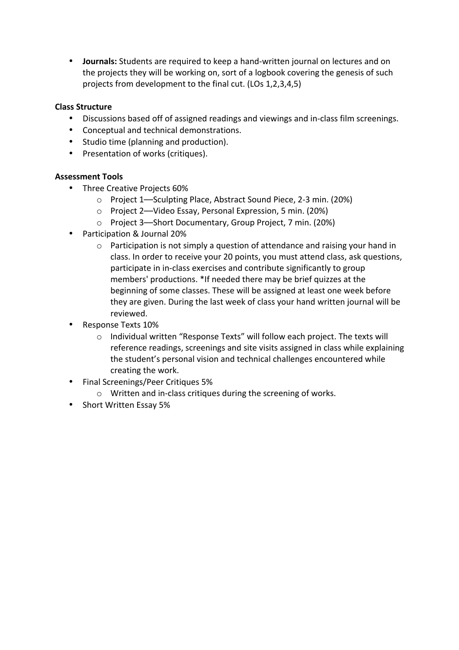• **Journals:** Students are required to keep a hand-written journal on lectures and on the projects they will be working on, sort of a logbook covering the genesis of such projects from development to the final cut. (LOs 1,2,3,4,5)

# **Class Structure**

- Discussions based off of assigned readings and viewings and in-class film screenings.
- Conceptual and technical demonstrations.
- Studio time (planning and production).
- Presentation of works (critiques).

# **Assessment Tools**

- Three Creative Projects 60%
	- o Project 1—Sculpting Place, Abstract Sound Piece, 2-3 min. (20%)
	- o Project 2—Video Essay, Personal Expression, 5 min. (20%)
	- o Project 3—Short Documentary, Group Project, 7 min. (20%)
- Participation & Journal 20%
	- $\circ$  Participation is not simply a question of attendance and raising your hand in class. In order to receive your 20 points, you must attend class, ask questions, participate in in-class exercises and contribute significantly to group members' productions. \*If needed there may be brief quizzes at the beginning of some classes. These will be assigned at least one week before they are given. During the last week of class your hand written journal will be reviewed.
- Response Texts 10%
	- o Individual written "Response Texts" will follow each project. The texts will reference readings, screenings and site visits assigned in class while explaining the student's personal vision and technical challenges encountered while creating the work.
- Final Screenings/Peer Critiques 5%
	- $\circ$  Written and in-class critiques during the screening of works.
- Short Written Essay 5%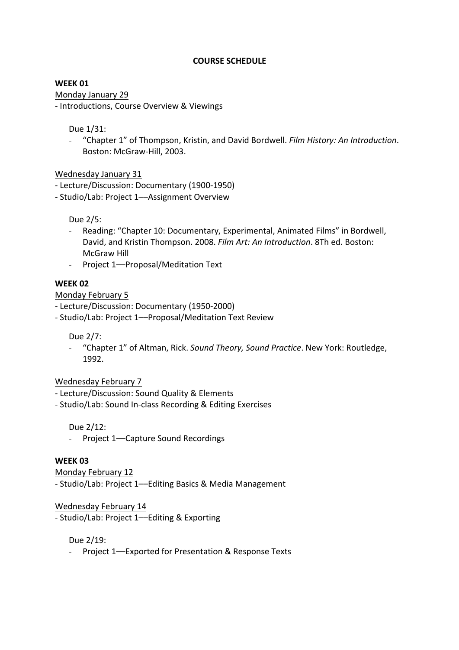#### **COURSE SCHEDULE**

#### **WEEK 01**

Monday January 29

- Introductions, Course Overview & Viewings

Due 1/31:

- "Chapter 1" of Thompson, Kristin, and David Bordwell. *Film History: An Introduction*. Boston: McGraw-Hill, 2003.

Wednesday January 31

- Lecture/Discussion: Documentary (1900-1950)

- Studio/Lab: Project 1-Assignment Overview

Due 2/5:

- Reading: "Chapter 10: Documentary, Experimental, Animated Films" in Bordwell, David, and Kristin Thompson. 2008. Film Art: An Introduction. 8Th ed. Boston: McGraw Hill
- Project 1--Proposal/Meditation Text

# **WEEK 02**

### Monday February 5

- Lecture/Discussion: Documentary (1950-2000)

- Studio/Lab: Project 1--Proposal/Meditation Text Review

Due 2/7:

- "Chapter 1" of Altman, Rick. *Sound Theory, Sound Practice*. New York: Routledge, 1992.

# Wednesday February 7

- Lecture/Discussion: Sound Quality & Elements
- Studio/Lab: Sound In-class Recording & Editing Exercises

Due 2/12:

- Project 1--Capture Sound Recordings

# **WEEK 03**

Monday February 12

- Studio/Lab: Project 1—Editing Basics & Media Management

Wednesday February 14

- Studio/Lab: Project 1-Editing & Exporting

Due 2/19:

- Project 1-Exported for Presentation & Response Texts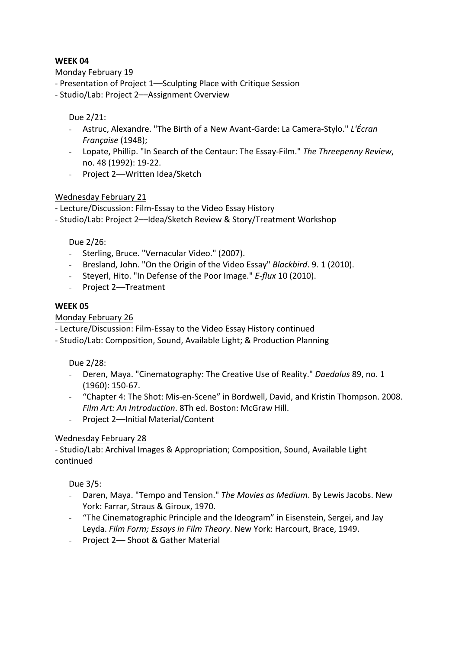Monday February 19

- Presentation of Project 1—Sculpting Place with Critique Session
- Studio/Lab: Project 2-Assignment Overview

### Due 2/21:

- Astruc, Alexandre. "The Birth of a New Avant-Garde: La Camera-Stylo." L'Écran *Française* (1948);
- Lopate, Phillip. "In Search of the Centaur: The Essay-Film." The Threepenny Review, no. 48 (1992): 19-22.
- Project 2-–Written Idea/Sketch

# Wednesday February 21

- Lecture/Discussion: Film-Essay to the Video Essay History

- Studio/Lab: Project 2--Idea/Sketch Review & Story/Treatment Workshop

### Due 2/26:

- Sterling, Bruce. "Vernacular Video." (2007).
- Bresland, John. "On the Origin of the Video Essay" *Blackbird*. 9. 1 (2010).
- Steyerl, Hito. "In Defense of the Poor Image." *E-flux* 10 (2010).
- Project 2-Treatment

### **WEEK 05**

### Monday February 26

- Lecture/Discussion: Film-Essay to the Video Essay History continued
- Studio/Lab: Composition, Sound, Available Light; & Production Planning

Due 2/28:

- Deren, Maya. "Cinematography: The Creative Use of Reality." *Daedalus* 89, no. 1  $(1960): 150-67.$
- "Chapter 4: The Shot: Mis-en-Scene" in Bordwell, David, and Kristin Thompson. 2008. *Film Art: An Introduction*. 8Th ed. Boston: McGraw Hill.
- Project 2--Initial Material/Content

#### Wednesday February 28

- Studio/Lab: Archival Images & Appropriation; Composition, Sound, Available Light continued

Due 3/5:

- Daren, Maya. "Tempo and Tension." The Movies as Medium. By Lewis Jacobs. New York: Farrar, Straus & Giroux, 1970.
- "The Cinematographic Principle and the Ideogram" in Eisenstein, Sergei, and Jay Leyda. *Film Form; Essays in Film Theory*. New York: Harcourt, Brace, 1949.
- Project 2-Shoot & Gather Material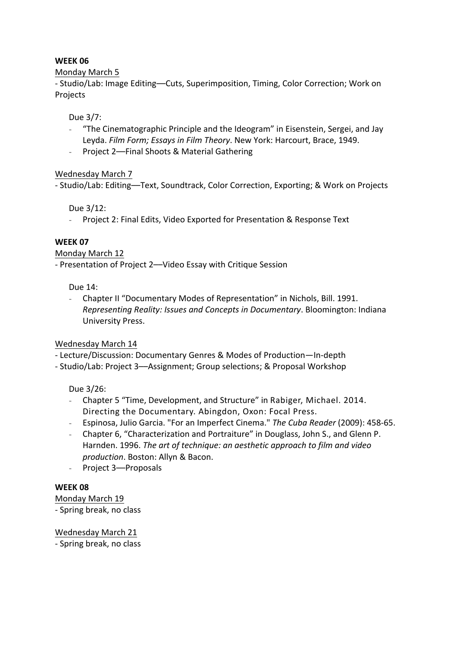### Monday March 5

- Studio/Lab: Image Editing—Cuts, Superimposition, Timing, Color Correction; Work on Projects

### Due 3/7:

- "The Cinematographic Principle and the Ideogram" in Eisenstein, Sergei, and Jay Leyda. *Film Form; Essays in Film Theory*. New York: Harcourt, Brace, 1949.
- Project 2—Final Shoots & Material Gathering

# Wednesday March 7

- Studio/Lab: Editing-Text, Soundtrack, Color Correction, Exporting; & Work on Projects

Due 3/12:

- Project 2: Final Edits, Video Exported for Presentation & Response Text

# **WEEK 07**

#### Monday March 12

- Presentation of Project 2--Video Essay with Critique Session

Due 14:

- Chapter II "Documentary Modes of Representation" in Nichols, Bill. 1991. *Representing Reality: Issues and Concepts in Documentary*. Bloomington: Indiana University Press.

# Wednesday March 14

- Lecture/Discussion: Documentary Genres & Modes of Production-In-depth
- Studio/Lab: Project 3-Assignment; Group selections; & Proposal Workshop

Due 3/26:

- Chapter 5 "Time, Development, and Structure" in Rabiger, Michael. 2014. Directing the Documentary. Abingdon, Oxon: Focal Press.
- Espinosa, Julio Garcia. "For an Imperfect Cinema." The Cuba Reader (2009): 458-65.
- Chapter 6, "Characterization and Portraiture" in Douglass, John S., and Glenn P. Harnden. 1996. *The art of technique: an aesthetic approach to film and video* production. Boston: Allyn & Bacon.
- Project 3-Proposals

# **WEEK 08**

Monday March 19

- Spring break, no class

Wednesday March 21 - Spring break, no class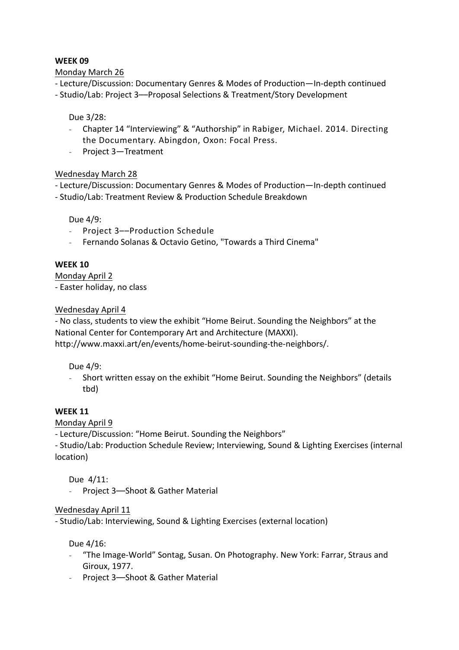Monday March 26

- Lecture/Discussion: Documentary Genres & Modes of Production—In-depth continued

- Studio/Lab: Project 3--Proposal Selections & Treatment/Story Development

# Due 3/28:

- Chapter 14 "Interviewing" & "Authorship" in Rabiger, Michael. 2014. Directing the Documentary. Abingdon, Oxon: Focal Press.
- Project 3-Treatment

# Wednesday March 28

- Lecture/Discussion: Documentary Genres & Modes of Production—In-depth continued - Studio/Lab: Treatment Review & Production Schedule Breakdown

Due 4/9:

- Project 3--Production Schedule
- Fernando Solanas & Octavio Getino, "Towards a Third Cinema"

### **WEEK 10**

Monday April 2 - Easter holiday, no class

### Wednesday April 4

- No class, students to view the exhibit "Home Beirut. Sounding the Neighbors" at the National Center for Contemporary Art and Architecture (MAXXI). http://www.maxxi.art/en/events/home-beirut-sounding-the-neighbors/. 

#### Due 4/9:

- Short written essay on the exhibit "Home Beirut. Sounding the Neighbors" (details tbd)

# **WEEK 11**

Monday April 9

- Lecture/Discussion: "Home Beirut. Sounding the Neighbors"

- Studio/Lab: Production Schedule Review; Interviewing, Sound & Lighting Exercises (internal location)

Due  $4/11$ :

- Project 3-Shoot & Gather Material

#### Wednesday April 11

- Studio/Lab: Interviewing, Sound & Lighting Exercises (external location)

Due 4/16:

- "The Image-World" Sontag, Susan. On Photography. New York: Farrar, Straus and Giroux, 1977.
- Project 3-Shoot & Gather Material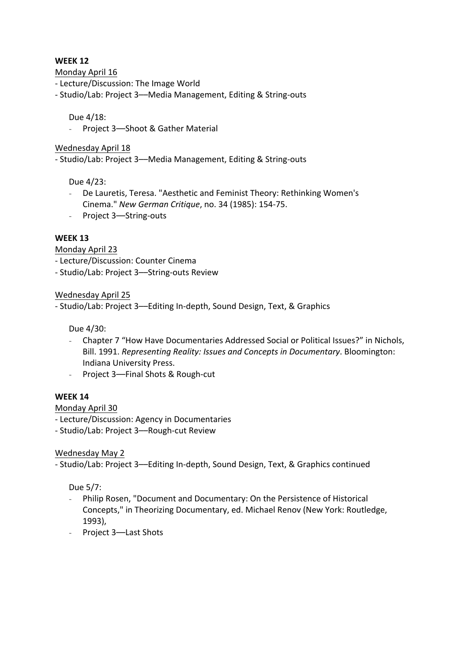Monday April 16

- Lecture/Discussion: The Image World
- Studio/Lab: Project 3-Media Management, Editing & String-outs

#### Due 4/18:

- Project 3-Shoot & Gather Material

#### Wednesday April 18

- Studio/Lab: Project 3- Media Management, Editing & String-outs

#### Due 4/23:

- De Lauretis, Teresa. "Aesthetic and Feminist Theory: Rethinking Women's Cinema." *New German Critique*, no. 34 (1985): 154-75.
- Project 3-String-outs

### **WEEK 13**

Monday April 23

- Lecture/Discussion: Counter Cinema

- Studio/Lab: Project 3-String-outs Review

#### Wednesday April 25

- Studio/Lab: Project 3—Editing In-depth, Sound Design, Text, & Graphics

Due 4/30:

- Chapter 7 "How Have Documentaries Addressed Social or Political Issues?" in Nichols, Bill. 1991. *Representing Reality: Issues and Concepts in Documentary*. Bloomington: Indiana University Press.
- Project 3--Final Shots & Rough-cut

#### **WEEK 14**

Monday April 30

- Lecture/Discussion: Agency in Documentaries

- Studio/Lab: Project 3-Rough-cut Review

# Wednesday May 2

- Studio/Lab: Project 3—Editing In-depth, Sound Design, Text, & Graphics continued

# Due 5/7:

- Philip Rosen, "Document and Documentary: On the Persistence of Historical Concepts," in Theorizing Documentary, ed. Michael Renov (New York: Routledge, 1993),
- Project 3-Last Shots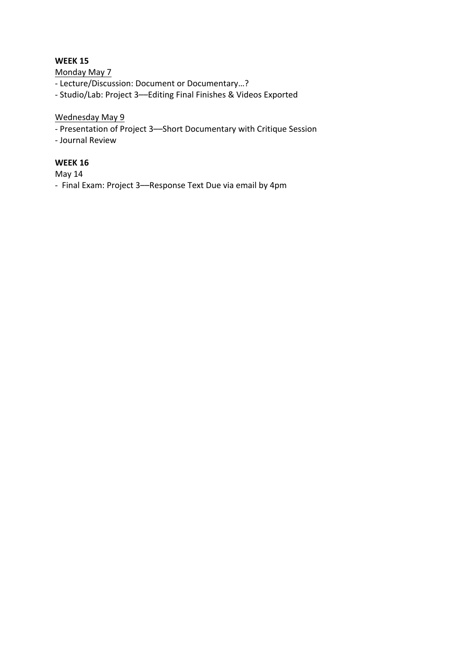Monday May 7

- Lecture/Discussion: Document or Documentary...?

- Studio/Lab: Project 3--Editing Final Finishes & Videos Exported

### Wednesday May 9

- Presentation of Project 3-Short Documentary with Critique Session
- Journal Review

# **WEEK 16**

May 14

- Final Exam: Project 3-Response Text Due via email by 4pm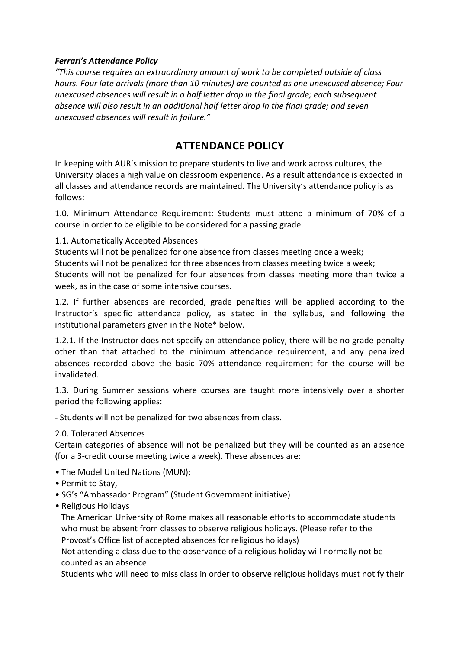### **Ferrari's Attendance Policy**

*"This* course requires an extraordinary amount of work to be completed outside of class *hours.* Four late arrivals (more than 10 minutes) are counted as one unexcused absence; Four *unexcused absences will result in a half letter drop in the final grade; each subsequent absence will also result in an additional half letter drop in the final grade; and seven unexcused absences will result in failure."*

# **ATTENDANCE POLICY**

In keeping with AUR's mission to prepare students to live and work across cultures, the University places a high value on classroom experience. As a result attendance is expected in all classes and attendance records are maintained. The University's attendance policy is as follows:

1.0. Minimum Attendance Requirement: Students must attend a minimum of 70% of a course in order to be eligible to be considered for a passing grade.

### 1.1. Automatically Accepted Absences

Students will not be penalized for one absence from classes meeting once a week; Students will not be penalized for three absences from classes meeting twice a week; Students will not be penalized for four absences from classes meeting more than twice a week, as in the case of some intensive courses.

1.2. If further absences are recorded, grade penalties will be applied according to the Instructor's specific attendance policy, as stated in the syllabus, and following the institutional parameters given in the Note\* below.

1.2.1. If the Instructor does not specify an attendance policy, there will be no grade penalty other than that attached to the minimum attendance requirement, and any penalized absences recorded above the basic 70% attendance requirement for the course will be invalidated.

1.3. During Summer sessions where courses are taught more intensively over a shorter period the following applies:

- Students will not be penalized for two absences from class.

# 2.0. Tolerated Absences

Certain categories of absence will not be penalized but they will be counted as an absence (for a 3-credit course meeting twice a week). These absences are:

- The Model United Nations (MUN);
- Permit to Stay,
- SG's "Ambassador Program" (Student Government initiative)
- Religious Holidays

The American University of Rome makes all reasonable efforts to accommodate students who must be absent from classes to observe religious holidays. (Please refer to the Provost's Office list of accepted absences for religious holidays)

Not attending a class due to the observance of a religious holiday will normally not be counted as an absence.

Students who will need to miss class in order to observe religious holidays must notify their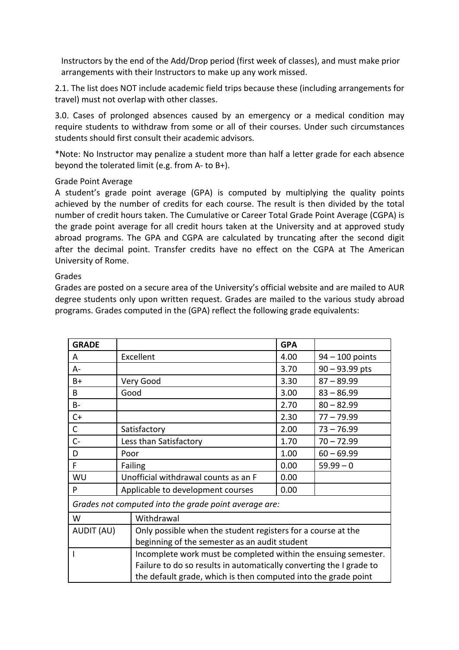Instructors by the end of the Add/Drop period (first week of classes), and must make prior arrangements with their Instructors to make up any work missed.

2.1. The list does NOT include academic field trips because these (including arrangements for travel) must not overlap with other classes.

3.0. Cases of prolonged absences caused by an emergency or a medical condition may require students to withdraw from some or all of their courses. Under such circumstances students should first consult their academic advisors.

\*Note: No Instructor may penalize a student more than half a letter grade for each absence beyond the tolerated limit (e.g. from  $A$ - to  $B+$ ).

### Grade Point Average

A student's grade point average (GPA) is computed by multiplying the quality points achieved by the number of credits for each course. The result is then divided by the total number of credit hours taken. The Cumulative or Career Total Grade Point Average (CGPA) is the grade point average for all credit hours taken at the University and at approved study abroad programs. The GPA and CGPA are calculated by truncating after the second digit after the decimal point. Transfer credits have no effect on the CGPA at The American University of Rome.

### Grades

Grades are posted on a secure area of the University's official website and are mailed to AUR degree students only upon written request. Grades are mailed to the various study abroad programs. Grades computed in the (GPA) reflect the following grade equivalents:

| <b>GRADE</b>                                                   |      |                                                                                                               |      |                   |
|----------------------------------------------------------------|------|---------------------------------------------------------------------------------------------------------------|------|-------------------|
| A                                                              |      | Excellent                                                                                                     |      | $94 - 100$ points |
| A-                                                             |      |                                                                                                               | 3.70 | $90 - 93.99$ pts  |
| $B+$                                                           |      | Very Good                                                                                                     |      | $87 - 89.99$      |
| B.                                                             |      | Good                                                                                                          |      | $83 - 86.99$      |
| B-                                                             |      |                                                                                                               |      | $80 - 82.99$      |
| $C+$                                                           |      |                                                                                                               |      | $77 - 79.99$      |
| $\mathsf{C}$                                                   |      | Satisfactory                                                                                                  |      | $73 - 76.99$      |
| $C -$                                                          |      | Less than Satisfactory                                                                                        | 1.70 | $70 - 72.99$      |
| D                                                              | Poor |                                                                                                               | 1.00 | $60 - 69.99$      |
| F                                                              |      | Failing                                                                                                       | 0.00 | $59.99 - 0$       |
| WU                                                             |      | Unofficial withdrawal counts as an F                                                                          | 0.00 |                   |
| P                                                              |      | Applicable to development courses                                                                             | 0.00 |                   |
| Grades not computed into the grade point average are:          |      |                                                                                                               |      |                   |
| W                                                              |      | Withdrawal                                                                                                    |      |                   |
| <b>AUDIT (AU)</b>                                              |      | Only possible when the student registers for a course at the<br>beginning of the semester as an audit student |      |                   |
| Incomplete work must be completed within the ensuing semester. |      |                                                                                                               |      |                   |
|                                                                |      | Failure to do so results in automatically converting the I grade to                                           |      |                   |
|                                                                |      | the default grade, which is then computed into the grade point                                                |      |                   |